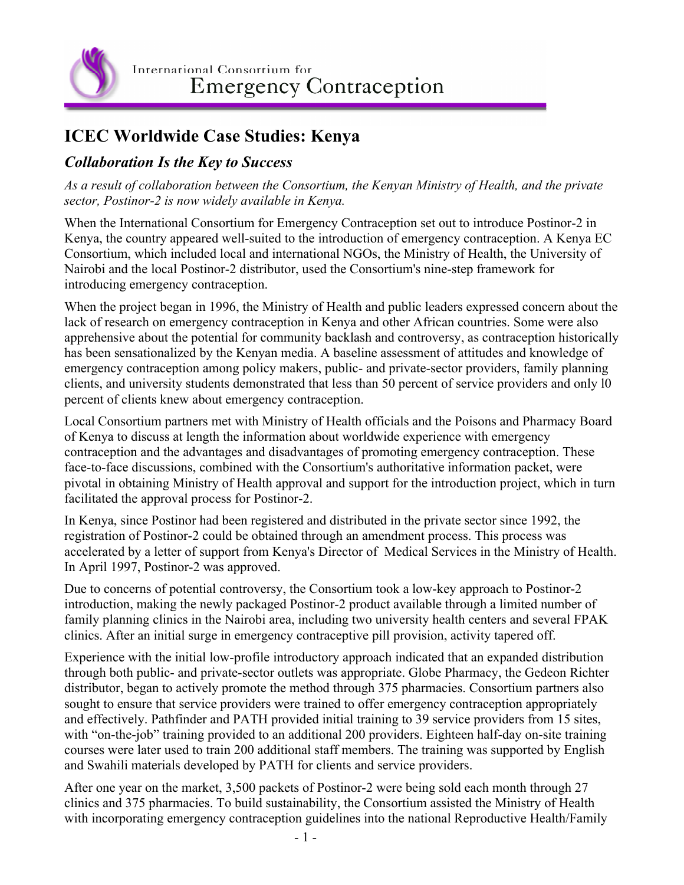

International Consortium for **Emergency Contraception** 

## **ICEC Worldwide Case Studies: Kenya**

## *Collaboration Is the Key to Success*

*As a result of collaboration between the Consortium, the Kenyan Ministry of Health, and the private sector, Postinor-2 is now widely available in Kenya.*

When the International Consortium for Emergency Contraception set out to introduce Postinor-2 in Kenya, the country appeared well-suited to the introduction of emergency contraception. A Kenya EC Consortium, which included local and international NGOs, the Ministry of Health, the University of Nairobi and the local Postinor-2 distributor, used the Consortium's nine-step framework for introducing emergency contraception.

When the project began in 1996, the Ministry of Health and public leaders expressed concern about the lack of research on emergency contraception in Kenya and other African countries. Some were also apprehensive about the potential for community backlash and controversy, as contraception historically has been sensationalized by the Kenyan media. A baseline assessment of attitudes and knowledge of emergency contraception among policy makers, public- and private-sector providers, family planning clients, and university students demonstrated that less than 50 percent of service providers and only l0 percent of clients knew about emergency contraception.

Local Consortium partners met with Ministry of Health officials and the Poisons and Pharmacy Board of Kenya to discuss at length the information about worldwide experience with emergency contraception and the advantages and disadvantages of promoting emergency contraception. These face-to-face discussions, combined with the Consortium's authoritative information packet, were pivotal in obtaining Ministry of Health approval and support for the introduction project, which in turn facilitated the approval process for Postinor-2.

In Kenya, since Postinor had been registered and distributed in the private sector since 1992, the registration of Postinor-2 could be obtained through an amendment process. This process was accelerated by a letter of support from Kenya's Director of Medical Services in the Ministry of Health. In April 1997, Postinor-2 was approved.

Due to concerns of potential controversy, the Consortium took a low-key approach to Postinor-2 introduction, making the newly packaged Postinor-2 product available through a limited number of family planning clinics in the Nairobi area, including two university health centers and several FPAK clinics. After an initial surge in emergency contraceptive pill provision, activity tapered off.

Experience with the initial low-profile introductory approach indicated that an expanded distribution through both public- and private-sector outlets was appropriate. Globe Pharmacy, the Gedeon Richter distributor, began to actively promote the method through 375 pharmacies. Consortium partners also sought to ensure that service providers were trained to offer emergency contraception appropriately and effectively. Pathfinder and PATH provided initial training to 39 service providers from 15 sites, with "on-the-job" training provided to an additional 200 providers. Eighteen half-day on-site training courses were later used to train 200 additional staff members. The training was supported by English and Swahili materials developed by PATH for clients and service providers.

After one year on the market, 3,500 packets of Postinor-2 were being sold each month through 27 clinics and 375 pharmacies. To build sustainability, the Consortium assisted the Ministry of Health with incorporating emergency contraception guidelines into the national Reproductive Health/Family